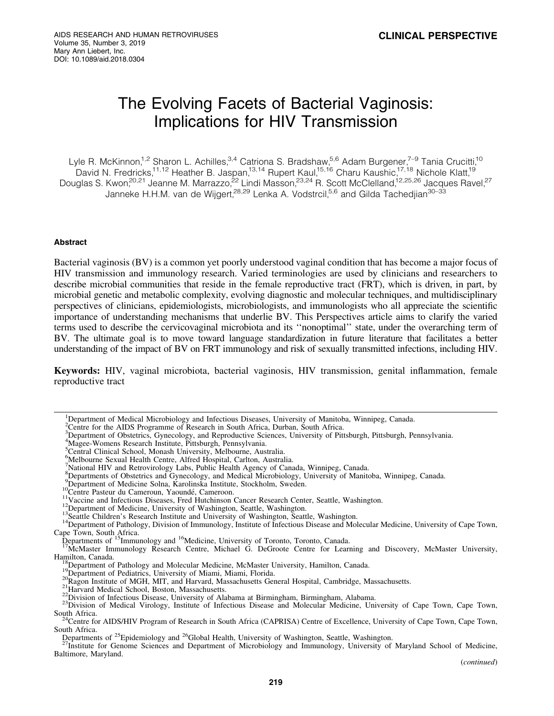# The Evolving Facets of Bacterial Vaginosis: Implications for HIV Transmission

Lyle R. McKinnon,<sup>1,2</sup> Sharon L. Achilles,<sup>3,4</sup> Catriona S. Bradshaw,<sup>5,6</sup> Adam Burgener,<sup>7–9</sup> Tania Crucitti,<sup>10</sup> David N. Fredricks,<sup>11,12</sup> Heather B. Jaspan,<sup>13,14</sup> Rupert Kaul,<sup>15,16</sup> Charu Kaushic,<sup>17,18</sup> Nichole Klatt,<sup>19</sup> Douglas S. Kwon,<sup>20,21</sup> Jeanne M. Marrazzo,<sup>22</sup> Lindi Masson,<sup>23,24</sup> R. Scott McClelland,<sup>12,25,26</sup> Jacques Ravel,<sup>27</sup> Janneke H.H.M. van de Wijgert,<sup>28,29</sup> Lenka A. Vodstrcil,<sup>5,6</sup> and Gilda Tachedjian<sup>30–33</sup>

# Abstract

Bacterial vaginosis (BV) is a common yet poorly understood vaginal condition that has become a major focus of HIV transmission and immunology research. Varied terminologies are used by clinicians and researchers to describe microbial communities that reside in the female reproductive tract (FRT), which is driven, in part, by microbial genetic and metabolic complexity, evolving diagnostic and molecular techniques, and multidisciplinary perspectives of clinicians, epidemiologists, microbiologists, and immunologists who all appreciate the scientific importance of understanding mechanisms that underlie BV. This Perspectives article aims to clarify the varied terms used to describe the cervicovaginal microbiota and its ''nonoptimal'' state, under the overarching term of BV. The ultimate goal is to move toward language standardization in future literature that facilitates a better understanding of the impact of BV on FRT immunology and risk of sexually transmitted infections, including HIV.

Keywords: HIV, vaginal microbiota, bacterial vaginosis, HIV transmission, genital inflammation, female reproductive tract

4 Magee-Womens Research Institute, Pittsburgh, Pennsylvania.

<sup>&</sup>lt;sup>1</sup>Department of Medical Microbiology and Infectious Diseases, University of Manitoba, Winnipeg, Canada.

<sup>&</sup>lt;sup>2</sup>Centre for the AIDS Programme of Research in South Africa, Durban, South Africa.

<sup>3</sup> Department of Obstetrics, Gynecology, and Reproductive Sciences, University of Pittsburgh, Pittsburgh, Pennsylvania.

Scentral Clinical School, Monash University, Melbourne, Australia.

<sup>6</sup> Melbourne Sexual Health Centre, Alfred Hospital, Carlton, Australia.

<sup>&</sup>lt;sup>7</sup>National HIV and Retrovirology Labs, Public Health Agency of Canada, Winnipeg, Canada.<br><sup>8</sup>Departments of Obstetrics and Gynecology, and Medical Microbiology, University of Manitoba, Winnipeg, Canada.

<sup>&</sup>lt;sup>9</sup>Department of Medicine Solna, Karolinska Institute, Stockholm, Sweden.<br><sup>10</sup>Centre Pasteur du Cameroun, Yaoundé, Cameroon.<br><sup>11</sup>Vaccine and Infectious Diseases, Fred Hutchinson Cancer Research Center, Seattle, Washington. <sup>14</sup>Department of Pathology, Division of Immunology, Institute of Infectious Disease and Molecular Medicine, University of Cape Town, Cape Town, South Africa.

Departments of <sup>15</sup>Immunology and <sup>16</sup>Medicine, University of Toronto, Toronto, Canada.<br><sup>17</sup>McMaster Immunology Research Centre, Michael G. DeGroote Centre for Learning and Discovery, McMaster University,<br>Hamilton, Canada.

<sup>&</sup>lt;sup>18</sup>Department of Pathology and Molecular Medicine, McMaster University, Hamilton, Canada.<br><sup>19</sup>Department of Pediatrics, University of Miami, Miami, Florida.<br><sup>20</sup>Ragon Institute of MGH, MIT, and Harvard, Massachusetts Gene

<sup>&</sup>lt;sup>24</sup>Centre for AIDS/HIV Program of Research in South Africa (CAPRISA) Centre of Excellence, University of Cape Town, Cape Town, South Africa.

Departments of <sup>25</sup>Epidemiology and <sup>26</sup>Global Health, University of Washington, Seattle, Washington.<br><sup>27</sup>Institute for Genome Sciences and Department of Microbiology and Immunology, University of Maryland School of Medici Baltimore, Maryland.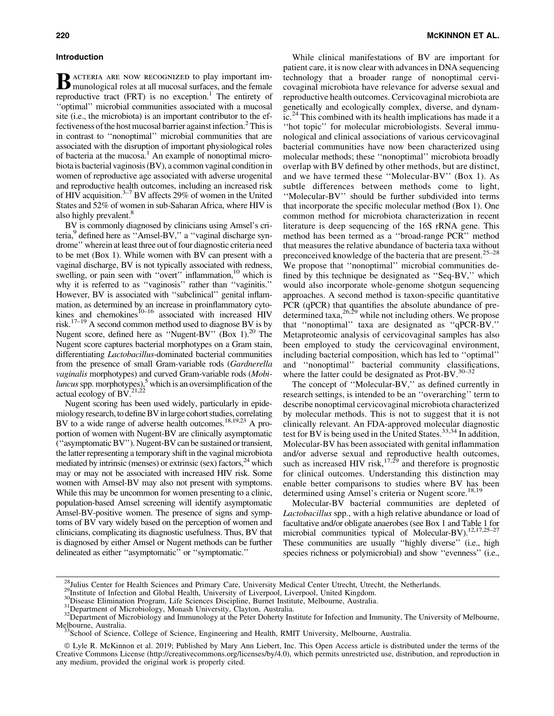#### Introduction

**B** ACTERIA ARE NOW RECOGNIZED to play important im-<br>munological roles at all mucosal surfaces, and the female reproductive tract (FRT) is no exception.<sup>1</sup> The entirety of ''optimal'' microbial communities associated with a mucosal site (i.e., the microbiota) is an important contributor to the effectiveness of the host mucosal barrier against infection.<sup>2</sup> This is in contrast to ''nonoptimal'' microbial communities that are associated with the disruption of important physiological roles of bacteria at the mucosa.<sup>1</sup> An example of nonoptimal microbiota is bacterial vaginosis (BV), a common vaginal condition in women of reproductive age associated with adverse urogenital and reproductive health outcomes, including an increased risk of HIV acquisition.<sup>3–7</sup> BV affects 29% of women in the United States and 52% of women in sub-Saharan Africa, where HIV is also highly prevalent.<sup>8</sup>

BV is commonly diagnosed by clinicians using Amsel's criteria,<sup>9</sup> defined here as "Amsel-BV," a "vaginal discharge syndrome'' wherein at least three out of four diagnostic criteria need to be met (Box 1). While women with BV can present with a vaginal discharge, BV is not typically associated with redness, swelling, or pain seen with "overt" inflammation,<sup>10</sup> which is why it is referred to as ''vaginosis'' rather than ''vaginitis.'' However, BV is associated with ''subclinical'' genital inflammation, as determined by an increase in proinflammatory cytokines and chemokines $^{10-16}$  associated with increased HIV risk.17–19 A second common method used to diagnose BV is by Nugent score, defined here as "Nugent-BV" (Box 1).<sup>20</sup> The Nugent score captures bacterial morphotypes on a Gram stain, differentiating *Lactobacillus*-dominated bacterial communities from the presence of small Gram-variable rods (*Gardnerella vaginalis* morphotypes) and curved Gram-variable rods (*Mobiluncus* spp. morphotypes), $5$  which is an oversimplification of the actual ecology of  $\overline{BV}^{21,\overline{22}}$ .

Nugent scoring has been used widely, particularly in epidemiologyresearch, to define BV in large cohort studies, correlating BV to a wide range of adverse health outcomes.<sup>18,19,23</sup> A proportion of women with Nugent-BV are clinically asymptomatic (''asymptomatic BV''). Nugent-BV can be sustained or transient, the latter representing a temporary shift in the vaginal microbiota mediated by intrinsic (menses) or extrinsic (sex) factors,  $^{24}$  which may or may not be associated with increased HIV risk. Some women with Amsel-BV may also not present with symptoms. While this may be uncommon for women presenting to a clinic, population-based Amsel screening will identify asymptomatic Amsel-BV-positive women. The presence of signs and symptoms of BV vary widely based on the perception of women and clinicians, complicating its diagnostic usefulness. Thus, BV that is diagnosed by either Amsel or Nugent methods can be further delineated as either ''asymptomatic'' or ''symptomatic.''

While clinical manifestations of BV are important for patient care, it is now clear with advances in DNA sequencing technology that a broader range of nonoptimal cervicovaginal microbiota have relevance for adverse sexual and reproductive health outcomes. Cervicovaginal microbiota are genetically and ecologically complex, diverse, and dynamic.<sup>24</sup> This combined with its health implications has made it a ''hot topic'' for molecular microbiologists. Several immunological and clinical associations of various cervicovaginal bacterial communities have now been characterized using molecular methods; these ''nonoptimal'' microbiota broadly overlap with BV defined by other methods, but are distinct, and we have termed these ''Molecular-BV'' (Box 1). As subtle differences between methods come to light, ''Molecular-BV'' should be further subdivided into terms that incorporate the specific molecular method (Box 1). One common method for microbiota characterization in recent literature is deep sequencing of the 16S rRNA gene. This method has been termed as a ''broad-range PCR'' method that measures the relative abundance of bacteria taxa without preconceived knowledge of the bacteria that are present.  $25-28$ We propose that ''nonoptimal'' microbial communities defined by this technique be designated as ''Seq-BV,'' which would also incorporate whole-genome shotgun sequencing approaches. A second method is taxon-specific quantitative PCR (qPCR) that quantifies the absolute abundance of predetermined taxa,  $26.29$  while not including others. We propose that ''nonoptimal'' taxa are designated as ''qPCR-BV.'' Metaproteomic analysis of cervicovaginal samples has also been employed to study the cervicovaginal environment, including bacterial composition, which has led to ''optimal'' and ''nonoptimal'' bacterial community classifications, where the latter could be designated as Prot-BV. $30-32$ 

The concept of ''Molecular-BV,'' as defined currently in research settings, is intended to be an ''overarching'' term to describe nonoptimal cervicovaginal microbiota characterized by molecular methods. This is not to suggest that it is not clinically relevant. An FDA-approved molecular diagnostic test for BV is being used in the United States.<sup>33,34</sup> In addition, Molecular-BV has been associated with genital inflammation and/or adverse sexual and reproductive health outcomes, such as increased HIV risk,<sup>17,29</sup> and therefore is prognostic for clinical outcomes. Understanding this distinction may enable better comparisons to studies where BV has been determined using Amsel's criteria or Nugent score.<sup>18,19</sup>

Molecular-BV bacterial communities are depleted of *Lactobacillus* spp., with a high relative abundance or load of facultative and/or obligate anaerobes (see Box 1 and Table 1 for microbial communities typical of Molecular-BV).<sup>12,17,25–27</sup> These communities are usually ''highly diverse'' (i.e., high species richness or polymicrobial) and show ''evenness'' (i.e.,

<sup>&</sup>lt;sup>28</sup>Julius Center for Health Sciences and Primary Care, University Medical Center Utrecht, Utrecht, the Netherlands.<br><sup>29</sup>Institute of Infection and Global Health, University of Liverpool, Liverpool, United Kingdom.<br><sup>30</sup>Di

<sup>33</sup>School of Science, College of Science, Engineering and Health, RMIT University, Melbourne, Australia.

ª Lyle R. McKinnon et al. 2019; Published by Mary Ann Liebert, Inc. This Open Access article is distributed under the terms of the Creative Commons License (<http://creativecommons.org/licenses/by/4.0>), which permits unrestricted use, distribution, and reproduction in any medium, provided the original work is properly cited.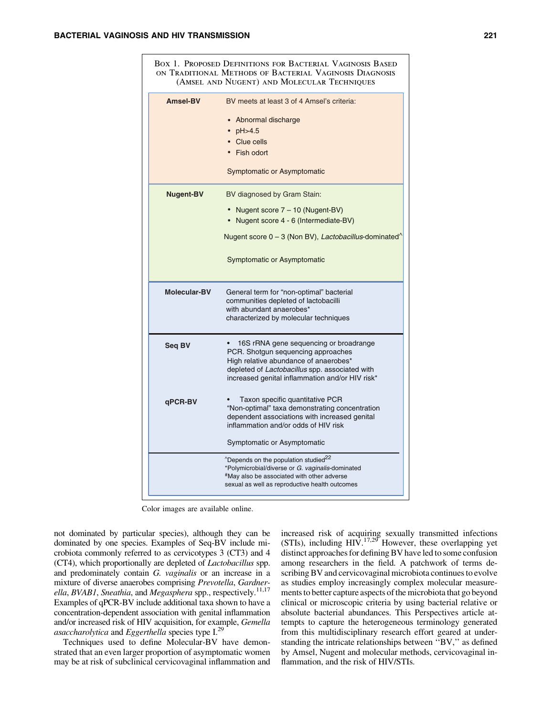|                  | ON TRADITIONAL METHODS OF BACTERIAL VAGINOSIS DIAGNOSIS<br>(AMSEL AND NUGENT) AND MOLECULAR TECHNIQUES            |
|------------------|-------------------------------------------------------------------------------------------------------------------|
| <b>Amsel-BV</b>  | BV meets at least 3 of 4 Amsel's criteria:                                                                        |
|                  | • Abnormal discharge                                                                                              |
|                  | $\cdot$ pH > 4.5                                                                                                  |
|                  | • Clue cells                                                                                                      |
|                  | • Fish odort                                                                                                      |
|                  | Symptomatic or Asymptomatic                                                                                       |
| <b>Nugent-BV</b> | BV diagnosed by Gram Stain:                                                                                       |
|                  | • Nugent score 7 – 10 (Nugent-BV)                                                                                 |
|                  | Nugent score 4 - 6 (Intermediate-BV)                                                                              |
|                  | Nugent score 0 - 3 (Non BV), Lactobacillus-dominated <sup>^</sup>                                                 |
|                  | Symptomatic or Asymptomatic                                                                                       |
| Molecular-BV     | General term for "non-optimal" bacterial<br>communities depleted of lactobacilli                                  |
|                  | with abundant anaerobes*                                                                                          |
|                  | characterized by molecular techniques                                                                             |
| Seq BV           | 16S rRNA gene sequencing or broadrange                                                                            |
|                  | PCR. Shotgun sequencing approaches<br>High relative abundance of anaerobes*                                       |
|                  | depleted of Lactobacillus spp. associated with<br>increased genital inflammation and/or HIV risk*                 |
|                  |                                                                                                                   |
| qPCR-BV          | Taxon specific quantitative PCR                                                                                   |
|                  | "Non-optimal" taxa demonstrating concentration<br>dependent associations with increased genital                   |
|                  | inflammation and/or odds of HIV risk                                                                              |
|                  | Symptomatic or Asymptomatic                                                                                       |
|                  | <sup>22</sup> Depends on the population studied <sup>22</sup><br>*Polymicrobial/diverse or G. vaginalis-dominated |
|                  | "May also be associated with other adverse                                                                        |
|                  | sexual as well as reproductive health outcomes                                                                    |

Color images are available online.

not dominated by particular species), although they can be dominated by one species. Examples of Seq-BV include microbiota commonly referred to as cervicotypes 3 (CT3) and 4 (CT4), which proportionally are depleted of *Lactobacillus* spp. and predominately contain *G. vaginalis* or an increase in a mixture of diverse anaerobes comprising *Prevotella*, *Gardnerella*, *BVAB1*, *Sneathia*, and *Megasphera* spp., respectively.11,17 Examples of qPCR-BV include additional taxa shown to have a concentration-dependent association with genital inflammation and/or increased risk of HIV acquisition, for example, *Gemella asaccharolytica* and *Eggerthella* species type I.29

Techniques used to define Molecular-BV have demonstrated that an even larger proportion of asymptomatic women may be at risk of subclinical cervicovaginal inflammation and

increased risk of acquiring sexually transmitted infections (STIs), including  $HIV^{17,29}$  However, these overlapping yet distinct approaches for defining BV have led to some confusion among researchers in the field. A patchwork of terms describing BV and cervicovaginal microbiota continues to evolve as studies employ increasingly complex molecular measurements to better capture aspects of the microbiota that go beyond clinical or microscopic criteria by using bacterial relative or absolute bacterial abundances. This Perspectives article attempts to capture the heterogeneous terminology generated from this multidisciplinary research effort geared at understanding the intricate relationships between ''BV,'' as defined by Amsel, Nugent and molecular methods, cervicovaginal inflammation, and the risk of HIV/STIs.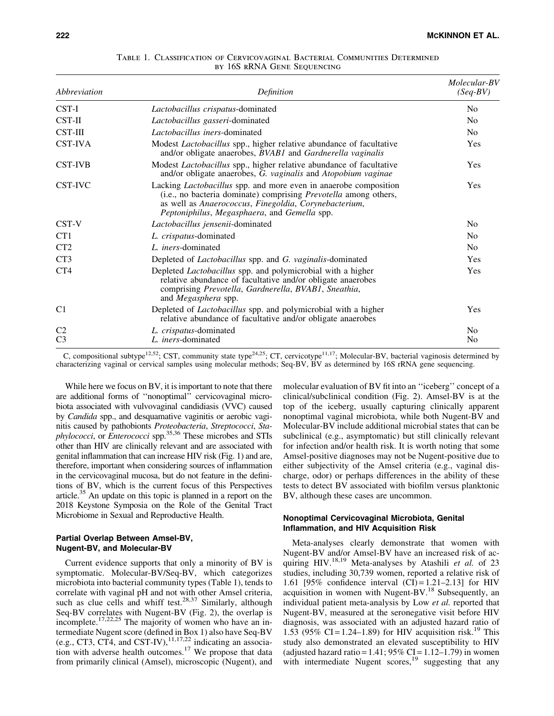| Abbreviation    | Definition                                                                                                                                                                                                                                                  | Molecular-BV<br>$(Seq-BV)$ |
|-----------------|-------------------------------------------------------------------------------------------------------------------------------------------------------------------------------------------------------------------------------------------------------------|----------------------------|
| CST-I           | Lactobacillus crispatus-dominated                                                                                                                                                                                                                           | N <sub>0</sub>             |
| $CST-II$        | Lactobacillus gasseri-dominated                                                                                                                                                                                                                             | N <sub>0</sub>             |
| <b>CST-III</b>  | Lactobacillus iners-dominated                                                                                                                                                                                                                               | N <sub>0</sub>             |
| <b>CST-IVA</b>  | Modest <i>Lactobacillus</i> spp., higher relative abundance of facultative<br>and/or obligate anaerobes, BVAB1 and Gardnerella vaginalis                                                                                                                    | Yes                        |
| <b>CST-IVB</b>  | Modest <i>Lactobacillus</i> spp., higher relative abundance of facultative<br>and/or obligate anaerobes, G. vaginalis and Atopobium vaginae                                                                                                                 | Yes                        |
| CST-IVC         | Lacking <i>Lactobacillus</i> spp. and more even in anaerobe composition<br>(i.e., no bacteria dominate) comprising <i>Prevotella</i> among others,<br>as well as Anaerococcus, Finegoldia, Corynebacterium,<br>Peptoniphilus, Megasphaera, and Gemella spp. | <b>Yes</b>                 |
| CST-V           | Lactobacillus jensenii-dominated                                                                                                                                                                                                                            | N <sub>0</sub>             |
| CT <sub>1</sub> | L. crispatus-dominated                                                                                                                                                                                                                                      | N <sub>0</sub>             |
| CT <sub>2</sub> | L. <i>iners</i> -dominated                                                                                                                                                                                                                                  | N <sub>0</sub>             |
| CT <sub>3</sub> | Depleted of <i>Lactobacillus</i> spp. and <i>G. vaginalis</i> -dominated                                                                                                                                                                                    | Yes                        |
| CT4             | Depleted Lactobacillus spp. and polymicrobial with a higher<br>relative abundance of facultative and/or obligate anaerobes<br>comprising Prevotella, Gardnerella, BVAB1, Sneathia,<br>and <i>Megasphera</i> spp.                                            | Yes                        |
| C <sub>1</sub>  | Depleted of <i>Lactobacillus</i> spp. and polymicrobial with a higher<br>relative abundance of facultative and/or obligate anaerobes                                                                                                                        | Yes                        |
| C <sub>2</sub>  | L. crispatus-dominated                                                                                                                                                                                                                                      | N <sub>0</sub>             |
| C <sub>3</sub>  | L. <i>iners</i> -dominated                                                                                                                                                                                                                                  | No                         |

Table 1. Classification of Cervicovaginal Bacterial Communities Determined by 16S RRNA GENE SEQUENCING

C, compositional subtype<sup>12,52</sup>; CST, community state type<sup>24,25</sup>; CT, cervicotype<sup>11,17</sup>; Molecular-BV, bacterial vaginosis determined by characterizing vaginal or cervical samples using molecular methods; Seq-BV, BV as determined by 16S rRNA gene sequencing.

While here we focus on BV, it is important to note that there are additional forms of ''nonoptimal'' cervicovaginal microbiota associated with vulvovaginal candidiasis (VVC) caused by *Candida* spp., and desquamative vaginitis or aerobic vaginitis caused by pathobionts *Proteobacteria*, *Streptococci*, *Staphylococci*, or *Enterococci* spp.35,36 These microbes and STIs other than HIV are clinically relevant and are associated with genital inflammation that can increase HIV risk (Fig. 1) and are, therefore, important when considering sources of inflammation in the cervicovaginal mucosa, but do not feature in the definitions of BV, which is the current focus of this Perspectives article.35 An update on this topic is planned in a report on the 2018 Keystone Symposia on the Role of the Genital Tract Microbiome in Sexual and Reproductive Health.

## Partial Overlap Between Amsel-BV, Nugent-BV, and Molecular-BV

Current evidence supports that only a minority of BV is symptomatic. Molecular-BV/Seq-BV, which categorizes microbiota into bacterial community types (Table 1), tends to correlate with vaginal pH and not with other Amsel criteria, such as clue cells and whiff test.<sup>28,37</sup> Similarly, although Seq-BV correlates with Nugent-BV (Fig. 2), the overlap is incomplete.17,22,25 The majority of women who have an intermediate Nugent score (defined in Box 1) also have Seq-BV (e.g., CT3, CT4, and CST-IV),  $^{11,17,22}$  indicating an association with adverse health outcomes.<sup>17</sup> We propose that data from primarily clinical (Amsel), microscopic (Nugent), and molecular evaluation of BV fit into an ''iceberg'' concept of a clinical/subclinical condition (Fig. 2). Amsel-BV is at the top of the iceberg, usually capturing clinically apparent nonoptimal vaginal microbiota, while both Nugent-BV and Molecular-BV include additional microbial states that can be subclinical (e.g., asymptomatic) but still clinically relevant for infection and/or health risk. It is worth noting that some Amsel-positive diagnoses may not be Nugent-positive due to either subjectivity of the Amsel criteria (e.g., vaginal discharge, odor) or perhaps differences in the ability of these tests to detect BV associated with biofilm versus planktonic BV, although these cases are uncommon.

## Nonoptimal Cervicovaginal Microbiota, Genital Inflammation, and HIV Acquisition Risk

Meta-analyses clearly demonstrate that women with Nugent-BV and/or Amsel-BV have an increased risk of acquiring HIV.<sup>18,19</sup> Meta-analyses by Atashili *et al.* of 23 studies, including 30,739 women, reported a relative risk of 1.61 [95% confidence interval  $(CI) = 1.21 - 2.13$ ] for HIV acquisition in women with Nugent-BV.<sup>18</sup> Subsequently, an individual patient meta-analysis by Low *et al.* reported that Nugent-BV, measured at the seronegative visit before HIV diagnosis, was associated with an adjusted hazard ratio of 1.53 (95% CI = 1.24–1.89) for HIV acquisition risk.<sup>19</sup> This study also demonstrated an elevated susceptibility to HIV (adjusted hazard ratio =  $1.41$ ; 95% CI =  $1.12-1.79$ ) in women with intermediate Nugent  $scores$ ,<sup>19</sup> suggesting that any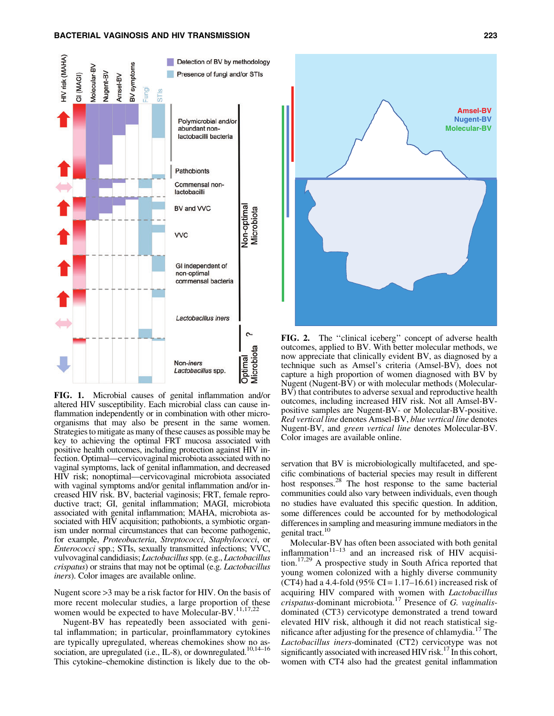## BACTERIAL VAGINOSIS AND HIV TRANSMISSION 223



FIG. 1. Microbial causes of genital inflammation and/or altered HIV susceptibility. Each microbial class can cause inflammation independently or in combination with other microorganisms that may also be present in the same women. Strategies to mitigate as many of these causes as possible may be key to achieving the optimal FRT mucosa associated with positive health outcomes, including protection against HIV infection. Optimal—cervicovaginal microbiota associated with no vaginal symptoms, lack of genital inflammation, and decreased HIV risk; nonoptimal—cervicovaginal microbiota associated with vaginal symptoms and/or genital inflammation and/or increased HIV risk. BV, bacterial vaginosis; FRT, female reproductive tract; GI, genital inflammation; MAGI, microbiota associated with genital inflammation; MAHA, microbiota associated with HIV acquisition; pathobionts, a symbiotic organism under normal circumstances that can become pathogenic, for example, *Proteobacteria*, *Streptococci*, *Staphylococci*, or *Enterococci* spp.; STIs, sexually transmitted infections; VVC, vulvovaginal candidiasis; *Lactobacillus*spp. (e.g., *Lactobacillus crispatus*) or strains that may not be optimal (e.g. *Lactobacillus iners*). Color images are available online.

Nugent score >3 may be a risk factor for HIV. On the basis of more recent molecular studies, a large proportion of these women would be expected to have Molecular-BV.<sup>11,17,22</sup>

Nugent-BV has repeatedly been associated with genital inflammation; in particular, proinflammatory cytokines are typically upregulated, whereas chemokines show no association, are upregulated (i.e., IL-8), or downregulated.<sup>10,14–16</sup> This cytokine–chemokine distinction is likely due to the ob-



FIG. 2. The ''clinical iceberg'' concept of adverse health outcomes, applied to BV. With better molecular methods, we now appreciate that clinically evident BV, as diagnosed by a technique such as Amsel's criteria (Amsel-BV), does not capture a high proportion of women diagnosed with BV by Nugent (Nugent-BV) or with molecular methods (Molecular-BV) that contributes to adverse sexual and reproductive health outcomes, including increased HIV risk. Not all Amsel-BVpositive samples are Nugent-BV- or Molecular-BV-positive. *Red vertical line* denotes Amsel-BV, *blue vertical line* denotes Nugent-BV, and *green vertical line* denotes Molecular-BV. Color images are available online.

servation that BV is microbiologically multifaceted, and specific combinations of bacterial species may result in different host responses. $^{28}$  The host response to the same bacterial communities could also vary between individuals, even though no studies have evaluated this specific question. In addition, some differences could be accounted for by methodological differences in sampling and measuring immune mediators in the genital tract.<sup>10</sup>

Molecular-BV has often been associated with both genital inflammation $11-13$  and an increased risk of HIV acquisition.17,29 A prospective study in South Africa reported that young women colonized with a highly diverse community (CT4) had a 4.4-fold (95% CI =  $1.17-16.61$ ) increased risk of acquiring HIV compared with women with *Lactobacillus crispatus-*dominant microbiota.<sup>17</sup> Presence of *G. vaginalis*dominated (CT3) cervicotype demonstrated a trend toward elevated HIV risk, although it did not reach statistical significance after adjusting for the presence of chlamydia.<sup>17</sup> The *Lactobacillus iners*-dominated (CT2) cervicotype was not significantly associated with increased HIV risk.<sup>17</sup> In this cohort, women with CT4 also had the greatest genital inflammation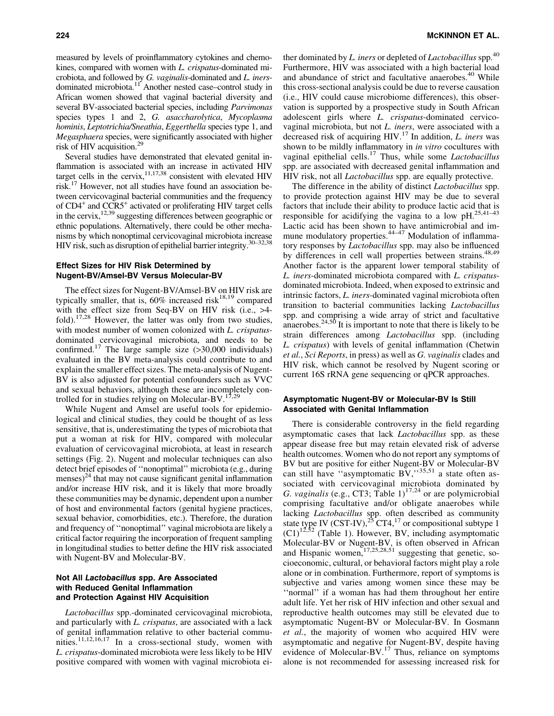measured by levels of proinflammatory cytokines and chemokines, compared with women with *L. crispatus*-dominated microbiota, and followed by *G. vaginalis*-dominated and *L. iners*dominated microbiota.<sup>11</sup> Another nested case–control study in African women showed that vaginal bacterial diversity and several BV-associated bacterial species, including *Parvimonas* species types 1 and 2, *G. asaccharolytica*, *Mycoplasma hominis*, *Leptotrichia/Sneathia*, *Eggerthella* species type 1, and *Megasphaera* species, were significantly associated with higher risk of HIV acquisition.29

Several studies have demonstrated that elevated genital inflammation is associated with an increase in activated HIV target cells in the cervix, $11,17,38$  consistent with elevated HIV risk.17 However, not all studies have found an association between cervicovaginal bacterial communities and the frequency of CD4<sup>+</sup> and CCR5<sup>+</sup> activated or proliferating HIV target cells in the cervix,  $^{12,39}$  suggesting differences between geographic or ethnic populations. Alternatively, there could be other mechanisms by which nonoptimal cervicovaginal microbiota increase HIV risk, such as disruption of epithelial barrier integrity.<sup>30–32,38</sup>

# Effect Sizes for HIV Risk Determined by Nugent-BV/Amsel-BV Versus Molecular-BV

The effect sizes for Nugent-BV/Amsel-BV on HIV risk are typically smaller, that is,  $60\%$  increased risk<sup>18,19</sup> compared with the effect size from Seq-BV on HIV risk (i.e., >4 fold).<sup>17,28</sup> However, the latter was only from two studies, with modest number of women colonized with *L. crispatus*dominated cervicovaginal microbiota, and needs to be confirmed.<sup>17</sup> The large sample size  $(>30,000)$  individuals) evaluated in the BV meta-analysis could contribute to and explain the smaller effect sizes. The meta-analysis of Nugent-BV is also adjusted for potential confounders such as VVC and sexual behaviors, although these are incompletely controlled for in studies relying on Molecular-BV. $^{17,2}$ 

While Nugent and Amsel are useful tools for epidemiological and clinical studies, they could be thought of as less sensitive, that is, underestimating the types of microbiota that put a woman at risk for HIV, compared with molecular evaluation of cervicovaginal microbiota, at least in research settings (Fig. 2). Nugent and molecular techniques can also detect brief episodes of ''nonoptimal'' microbiota (e.g., during menses)<sup>24</sup> that may not cause significant genital inflammation and/or increase HIV risk, and it is likely that more broadly these communities may be dynamic, dependent upon a number of host and environmental factors (genital hygiene practices, sexual behavior, comorbidities, etc.). Therefore, the duration and frequency of ''nonoptimal'' vaginal microbiota are likely a critical factor requiring the incorporation of frequent sampling in longitudinal studies to better define the HIV risk associated with Nugent-BV and Molecular-BV.

# Not All Lactobacillus spp. Are Associated with Reduced Genital Inflammation and Protection Against HIV Acquisition

*Lactobacillus* spp.-dominated cervicovaginal microbiota, and particularly with *L. crispatus*, are associated with a lack of genital inflammation relative to other bacterial communities.<sup>11,12,16,17</sup> In a cross-sectional study, women with *L. crispatus*-dominated microbiota were less likely to be HIV positive compared with women with vaginal microbiota either dominated by *L. iners* or depleted of *Lactobacillus* spp.<sup>40</sup> Furthermore, HIV was associated with a high bacterial load and abundance of strict and facultative anaerobes.<sup>40</sup> While this cross-sectional analysis could be due to reverse causation (i.e., HIV could cause microbiome differences), this observation is supported by a prospective study in South African adolescent girls where *L. crispatus*-dominated cervicovaginal microbiota, but not *L. iners*, were associated with a decreased risk of acquiring HIV.<sup>17</sup> In addition, *L. iners* was shown to be mildly inflammatory in *in vitro* cocultures with vaginal epithelial cells.17 Thus, while some *Lactobacillus* spp. are associated with decreased genital inflammation and HIV risk, not all *Lactobacillus* spp. are equally protective.

The difference in the ability of distinct *Lactobacillus* spp. to provide protection against HIV may be due to several factors that include their ability to produce lactic acid that is responsible for acidifying the vagina to a low  $pH^{25,41-43}$ Lactic acid has been shown to have antimicrobial and immune modulatory properties.<sup>44-47</sup> Modulation of inflammatory responses by *Lactobacillus* spp. may also be influenced by differences in cell wall properties between strains.<sup>48,49</sup> Another factor is the apparent lower temporal stability of *L. iners*-dominated microbiota compared with *L. crispatus*dominated microbiota. Indeed, when exposed to extrinsic and intrinsic factors, *L. iners-*dominated vaginal microbiota often transition to bacterial communities lacking *Lactobacillus* spp. and comprising a wide array of strict and facultative anaerobes. $24,50$  It is important to note that there is likely to be strain differences among *Lactobacillus* spp. (including *L. crispatus*) with levels of genital inflammation (Chetwin *et al.*, *Sci Reports*, in press) as well as *G. vaginalis* clades and HIV risk, which cannot be resolved by Nugent scoring or current 16S rRNA gene sequencing or qPCR approaches.

# Asymptomatic Nugent-BV or Molecular-BV Is Still Associated with Genital Inflammation

There is considerable controversy in the field regarding asymptomatic cases that lack *Lactobacillus* spp. as these appear disease free but may retain elevated risk of adverse health outcomes. Women who do not report any symptoms of BV but are positive for either Nugent-BV or Molecular-BV can still have "asymptomatic  $\overline{BV}$ ,"35,51 a state often associated with cervicovaginal microbiota dominated by *G. vaginalis* (e.g., CT3; Table  $1$ )<sup>17,24</sup> or are polymicrobial comprising facultative and/or obligate anaerobes while lacking *Lactobacillus* spp. often described as community state type IV (CST-IV),<sup>25</sup> CT4,<sup>17</sup> or compositional subtype 1  $(C1)^{12,52}$  (Table 1). However, BV, including asymptomatic Molecular-BV or Nugent-BV, is often observed in African and Hispanic women, $17,25,28,51$  suggesting that genetic, socioeconomic, cultural, or behavioral factors might play a role alone or in combination. Furthermore, report of symptoms is subjective and varies among women since these may be ''normal'' if a woman has had them throughout her entire adult life. Yet her risk of HIV infection and other sexual and reproductive health outcomes may still be elevated due to asymptomatic Nugent-BV or Molecular-BV. In Gosmann *et al.*, the majority of women who acquired HIV were asymptomatic and negative for Nugent-BV, despite having evidence of Molecular-BV.<sup>17</sup> Thus, reliance on symptoms alone is not recommended for assessing increased risk for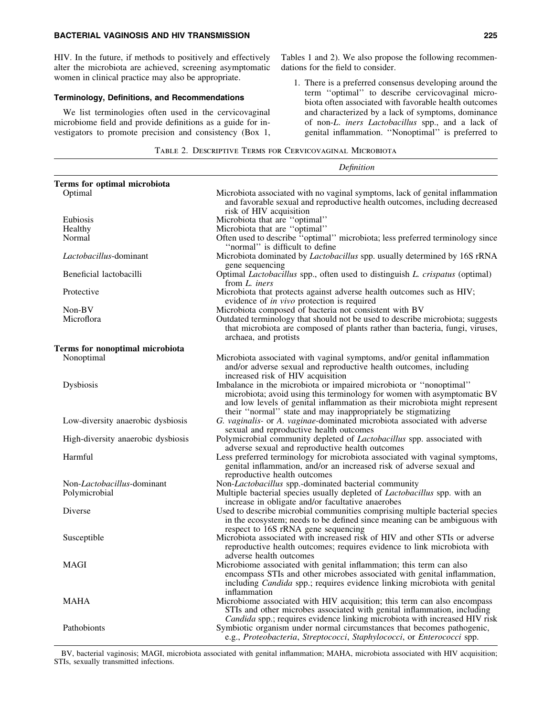## BACTERIAL VAGINOSIS AND HIV TRANSMISSION 225

HIV. In the future, if methods to positively and effectively alter the microbiota are achieved, screening asymptomatic women in clinical practice may also be appropriate.

## Terminology, Definitions, and Recommendations

We list terminologies often used in the cervicovaginal microbiome field and provide definitions as a guide for investigators to promote precision and consistency (Box 1, Tables 1 and 2). We also propose the following recommendations for the field to consider.

1. There is a preferred consensus developing around the term ''optimal'' to describe cervicovaginal microbiota often associated with favorable health outcomes and characterized by a lack of symptoms, dominance of non-*L*. *iners Lactobacillus* spp., and a lack of genital inflammation. ''Nonoptimal'' is preferred to

|  | TABLE 2. DESCRIPTIVE TERMS FOR CERVICOVAGINAL MICROBIOTA |  |
|--|----------------------------------------------------------|--|
|  |                                                          |  |

|                                             | Definition                                                                                                                                                                                                                                                                                  |  |  |
|---------------------------------------------|---------------------------------------------------------------------------------------------------------------------------------------------------------------------------------------------------------------------------------------------------------------------------------------------|--|--|
| Terms for optimal microbiota                |                                                                                                                                                                                                                                                                                             |  |  |
| Optimal                                     | Microbiota associated with no vaginal symptoms, lack of genital inflammation<br>and favorable sexual and reproductive health outcomes, including decreased<br>risk of HIV acquisition                                                                                                       |  |  |
| Eubiosis                                    | Microbiota that are "optimal"                                                                                                                                                                                                                                                               |  |  |
| Healthy                                     | Microbiota that are "optimal"                                                                                                                                                                                                                                                               |  |  |
| Normal                                      | Often used to describe "optimal" microbiota; less preferred terminology since<br>"normal" is difficult to define                                                                                                                                                                            |  |  |
| Lactobacillus-dominant                      | Microbiota dominated by <i>Lactobacillus</i> spp. usually determined by 16S rRNA<br>gene sequencing                                                                                                                                                                                         |  |  |
| Beneficial lactobacilli                     | Optimal <i>Lactobacillus</i> spp., often used to distinguish <i>L. crispatus</i> (optimal)<br>from L. iners                                                                                                                                                                                 |  |  |
| Protective                                  | Microbiota that protects against adverse health outcomes such as HIV;<br>evidence of in vivo protection is required                                                                                                                                                                         |  |  |
| Non-BV                                      | Microbiota composed of bacteria not consistent with BV                                                                                                                                                                                                                                      |  |  |
| Microflora                                  | Outdated terminology that should not be used to describe microbiota; suggests<br>that microbiota are composed of plants rather than bacteria, fungi, viruses,<br>archaea, and protists                                                                                                      |  |  |
| Terms for nonoptimal microbiota             |                                                                                                                                                                                                                                                                                             |  |  |
| Nonoptimal                                  | Microbiota associated with vaginal symptoms, and/or genital inflammation<br>and/or adverse sexual and reproductive health outcomes, including<br>increased risk of HIV acquisition                                                                                                          |  |  |
| Dysbiosis                                   | Imbalance in the microbiota or impaired microbiota or "nonoptimal"<br>microbiota; avoid using this terminology for women with asymptomatic BV<br>and low levels of genital inflammation as their microbiota might represent<br>their "normal" state and may inappropriately be stigmatizing |  |  |
| Low-diversity anaerobic dysbiosis           | G. vaginalis- or A. vaginae-dominated microbiota associated with adverse<br>sexual and reproductive health outcomes                                                                                                                                                                         |  |  |
| High-diversity anaerobic dysbiosis          | Polymicrobial community depleted of Lactobacillus spp. associated with<br>adverse sexual and reproductive health outcomes                                                                                                                                                                   |  |  |
| Harmful                                     | Less preferred terminology for microbiota associated with vaginal symptoms,<br>genital inflammation, and/or an increased risk of adverse sexual and<br>reproductive health outcomes                                                                                                         |  |  |
| Non-Lactobacillus-dominant<br>Polymicrobial | Non-Lactobacillus spp.-dominated bacterial community<br>Multiple bacterial species usually depleted of <i>Lactobacillus</i> spp. with an<br>increase in obligate and/or facultative anaerobes                                                                                               |  |  |
| Diverse                                     | Used to describe microbial communities comprising multiple bacterial species<br>in the ecosystem; needs to be defined since meaning can be ambiguous with<br>respect to 16S rRNA gene sequencing                                                                                            |  |  |
| Susceptible                                 | Microbiota associated with increased risk of HIV and other STIs or adverse<br>reproductive health outcomes; requires evidence to link microbiota with<br>adverse health outcomes                                                                                                            |  |  |
| MAGI                                        | Microbiome associated with genital inflammation; this term can also<br>encompass STIs and other microbes associated with genital inflammation,<br>including <i>Candida</i> spp.; requires evidence linking microbiota with genital<br>inflammation                                          |  |  |
| MAHA                                        | Microbiome associated with HIV acquisition; this term can also encompass<br>STIs and other microbes associated with genital inflammation, including<br>Candida spp.; requires evidence linking microbiota with increased HIV risk                                                           |  |  |
| Pathobionts                                 | Symbiotic organism under normal circumstances that becomes pathogenic,<br>e.g., Proteobacteria, Streptococci, Staphylococci, or Enterococci spp.                                                                                                                                            |  |  |

BV, bacterial vaginosis; MAGI, microbiota associated with genital inflammation; MAHA, microbiota associated with HIV acquisition; STIs, sexually transmitted infections.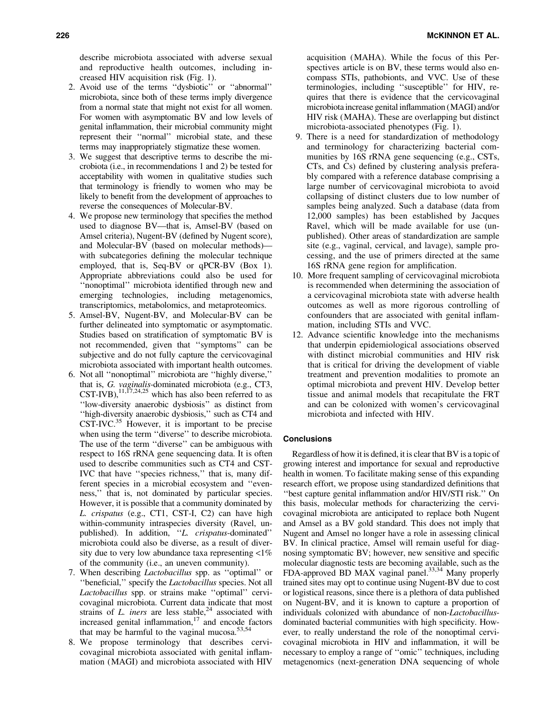describe microbiota associated with adverse sexual and reproductive health outcomes, including increased HIV acquisition risk (Fig. 1).

- 2. Avoid use of the terms ''dysbiotic'' or ''abnormal'' microbiota, since both of these terms imply divergence from a normal state that might not exist for all women. For women with asymptomatic BV and low levels of genital inflammation, their microbial community might represent their ''normal'' microbial state, and these terms may inappropriately stigmatize these women.
- 3. We suggest that descriptive terms to describe the microbiota (i.e., in recommendations 1 and 2) be tested for acceptability with women in qualitative studies such that terminology is friendly to women who may be likely to benefit from the development of approaches to reverse the consequences of Molecular-BV.
- 4. We propose new terminology that specifies the method used to diagnose BV—that is, Amsel-BV (based on Amsel criteria), Nugent-BV (defined by Nugent score), and Molecular-BV (based on molecular methods) with subcategories defining the molecular technique employed, that is, Seq-BV or qPCR-BV (Box 1). Appropriate abbreviations could also be used for ''nonoptimal'' microbiota identified through new and emerging technologies, including metagenomics, transcriptomics, metabolomics, and metaproteomics.
- 5. Amsel-BV, Nugent-BV, and Molecular-BV can be further delineated into symptomatic or asymptomatic. Studies based on stratification of symptomatic BV is not recommended, given that ''symptoms'' can be subjective and do not fully capture the cervicovaginal microbiota associated with important health outcomes.
- 6. Not all ''nonoptimal'' microbiota are ''highly diverse,'' that is, *G. vaginalis-*dominated microbiota (e.g., CT3, CST-IVB),  $^{11,17,24,25}$  which has also been referred to as ''low-diversity anaerobic dysbiosis'' as distinct from ''high-diversity anaerobic dysbiosis,'' such as CT4 and  $CST-IVC<sup>35</sup>$  However, it is important to be precise when using the term ''diverse'' to describe microbiota. The use of the term ''diverse'' can be ambiguous with respect to 16S rRNA gene sequencing data. It is often used to describe communities such as CT4 and CST-IVC that have ''species richness,'' that is, many different species in a microbial ecosystem and ''evenness,'' that is, not dominated by particular species. However, it is possible that a community dominated by *L. crispatus* (e.g., CT1, CST-I, C2) can have high within-community intraspecies diversity (Ravel, unpublished). In addition, ''*L. crispatus*-dominated'' microbiota could also be diverse, as a result of diversity due to very low abundance taxa representing  $\langle 1\% \rangle$ of the community (i.e., an uneven community).
- 7. When describing *Lactobacillus* spp. as ''optimal'' or ''beneficial,'' specify the *Lactobacillus* species. Not all *Lactobacillus* spp. or strains make ''optimal'' cervicovaginal microbiota. Current data indicate that most strains of  $L$ . *iners* are less stable,<sup>24</sup> associated with increased genital inflammation, $17$  and encode factors that may be harmful to the vaginal mucosa. $53,54$
- 8. We propose terminology that describes cervicovaginal microbiota associated with genital inflammation (MAGI) and microbiota associated with HIV

acquisition (MAHA). While the focus of this Perspectives article is on BV, these terms would also encompass STIs, pathobionts, and VVC. Use of these terminologies, including ''susceptible'' for HIV, requires that there is evidence that the cervicovaginal microbiota increase genital inflammation (MAGI) and/or HIV risk (MAHA). These are overlapping but distinct microbiota-associated phenotypes (Fig. 1).

- 9. There is a need for standardization of methodology and terminology for characterizing bacterial communities by 16S rRNA gene sequencing (e.g., CSTs, CTs, and Cs) defined by clustering analysis preferably compared with a reference database comprising a large number of cervicovaginal microbiota to avoid collapsing of distinct clusters due to low number of samples being analyzed. Such a database (data from 12,000 samples) has been established by Jacques Ravel, which will be made available for use (unpublished). Other areas of standardization are sample site (e.g., vaginal, cervical, and lavage), sample processing, and the use of primers directed at the same 16S rRNA gene region for amplification.
- 10. More frequent sampling of cervicovaginal microbiota is recommended when determining the association of a cervicovaginal microbiota state with adverse health outcomes as well as more rigorous controlling of confounders that are associated with genital inflammation, including STIs and VVC.
- 12. Advance scientific knowledge into the mechanisms that underpin epidemiological associations observed with distinct microbial communities and HIV risk that is critical for driving the development of viable treatment and prevention modalities to promote an optimal microbiota and prevent HIV. Develop better tissue and animal models that recapitulate the FRT and can be colonized with women's cervicovaginal microbiota and infected with HIV.

## **Conclusions**

Regardless of how it is defined, it is clear that BV is a topic of growing interest and importance for sexual and reproductive health in women. To facilitate making sense of this expanding research effort, we propose using standardized definitions that ''best capture genital inflammation and/or HIV/STI risk.'' On this basis, molecular methods for characterizing the cervicovaginal microbiota are anticipated to replace both Nugent and Amsel as a BV gold standard. This does not imply that Nugent and Amsel no longer have a role in assessing clinical BV. In clinical practice, Amsel will remain useful for diagnosing symptomatic BV; however, new sensitive and specific molecular diagnostic tests are becoming available, such as the FDA-approved BD MAX vaginal panel.<sup>33,34</sup> Many properly trained sites may opt to continue using Nugent-BV due to cost or logistical reasons, since there is a plethora of data published on Nugent-BV, and it is known to capture a proportion of individuals colonized with abundance of non-*Lactobacillus*dominated bacterial communities with high specificity. However, to really understand the role of the nonoptimal cervicovaginal microbiota in HIV and inflammation, it will be necessary to employ a range of ''omic'' techniques, including metagenomics (next-generation DNA sequencing of whole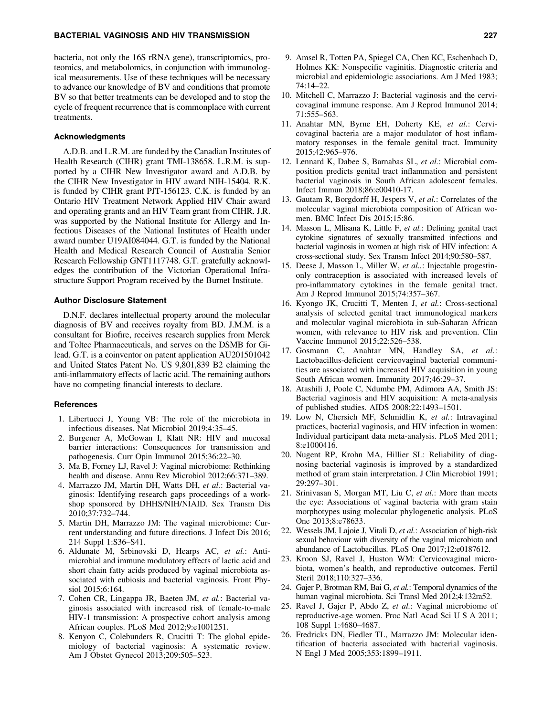## BACTERIAL VAGINOSIS AND HIV TRANSMISSION 227

bacteria, not only the 16S rRNA gene), transcriptomics, proteomics, and metabolomics, in conjunction with immunological measurements. Use of these techniques will be necessary to advance our knowledge of BV and conditions that promote BV so that better treatments can be developed and to stop the cycle of frequent recurrence that is commonplace with current treatments.

## Acknowledgments

A.D.B. and L.R.M. are funded by the Canadian Institutes of Health Research (CIHR) grant TMI-138658. L.R.M. is supported by a CIHR New Investigator award and A.D.B. by the CIHR New Investigator in HIV award NIH-15404. R.K. is funded by CIHR grant PJT-156123. C.K. is funded by an Ontario HIV Treatment Network Applied HIV Chair award and operating grants and an HIV Team grant from CIHR. J.R. was supported by the National Institute for Allergy and Infectious Diseases of the National Institutes of Health under award number U19AI084044. G.T. is funded by the National Health and Medical Research Council of Australia Senior Research Fellowship GNT1117748. G.T. gratefully acknowledges the contribution of the Victorian Operational Infrastructure Support Program received by the Burnet Institute.

#### Author Disclosure Statement

D.N.F. declares intellectual property around the molecular diagnosis of BV and receives royalty from BD. J.M.M. is a consultant for Biofire, receives research supplies from Merck and Toltec Pharmaceuticals, and serves on the DSMB for Gilead. G.T. is a coinventor on patent application AU201501042 and United States Patent No. US 9,801,839 B2 claiming the anti-inflammatory effects of lactic acid. The remaining authors have no competing financial interests to declare.

#### References

- 1. Libertucci J, Young VB: The role of the microbiota in infectious diseases. Nat Microbiol 2019;4:35–45.
- 2. Burgener A, McGowan I, Klatt NR: HIV and mucosal barrier interactions: Consequences for transmission and pathogenesis. Curr Opin Immunol 2015;36:22–30.
- 3. Ma B, Forney LJ, Ravel J: Vaginal microbiome: Rethinking health and disease. Annu Rev Microbiol 2012;66:371–389.
- 4. Marrazzo JM, Martin DH, Watts DH, *et al.*: Bacterial vaginosis: Identifying research gaps proceedings of a workshop sponsored by DHHS/NIH/NIAID. Sex Transm Dis 2010;37:732–744.
- 5. Martin DH, Marrazzo JM: The vaginal microbiome: Current understanding and future directions. J Infect Dis 2016; 214 Suppl 1:S36–S41.
- 6. Aldunate M, Srbinovski D, Hearps AC, *et al.*: Antimicrobial and immune modulatory effects of lactic acid and short chain fatty acids produced by vaginal microbiota associated with eubiosis and bacterial vaginosis. Front Physiol 2015;6:164.
- 7. Cohen CR, Lingappa JR, Baeten JM, *et al.*: Bacterial vaginosis associated with increased risk of female-to-male HIV-1 transmission: A prospective cohort analysis among African couples. PLoS Med 2012;9:e1001251.
- 8. Kenyon C, Colebunders R, Crucitti T: The global epidemiology of bacterial vaginosis: A systematic review. Am J Obstet Gynecol 2013;209:505–523.
- 9. Amsel R, Totten PA, Spiegel CA, Chen KC, Eschenbach D, Holmes KK: Nonspecific vaginitis. Diagnostic criteria and microbial and epidemiologic associations. Am J Med 1983; 74:14–22.
- 10. Mitchell C, Marrazzo J: Bacterial vaginosis and the cervicovaginal immune response. Am J Reprod Immunol 2014; 71:555–563.
- 11. Anahtar MN, Byrne EH, Doherty KE, *et al.*: Cervicovaginal bacteria are a major modulator of host inflammatory responses in the female genital tract. Immunity 2015;42:965–976.
- 12. Lennard K, Dabee S, Barnabas SL, *et al.*: Microbial composition predicts genital tract inflammation and persistent bacterial vaginosis in South African adolescent females. Infect Immun 2018;86:e00410-17.
- 13. Gautam R, Borgdorff H, Jespers V, *et al.*: Correlates of the molecular vaginal microbiota composition of African women. BMC Infect Dis 2015;15:86.
- 14. Masson L, Mlisana K, Little F, *et al.*: Defining genital tract cytokine signatures of sexually transmitted infections and bacterial vaginosis in women at high risk of HIV infection: A cross-sectional study. Sex Transm Infect 2014;90:580–587.
- 15. Deese J, Masson L, Miller W, *et al..*: Injectable progestinonly contraception is associated with increased levels of pro-inflammatory cytokines in the female genital tract. Am J Reprod Immunol 2015;74:357–367.
- 16. Kyongo JK, Crucitti T, Menten J, *et al.*: Cross-sectional analysis of selected genital tract immunological markers and molecular vaginal microbiota in sub-Saharan African women, with relevance to HIV risk and prevention. Clin Vaccine Immunol 2015;22:526–538.
- 17. Gosmann C, Anahtar MN, Handley SA, *et al.*: Lactobacillus-deficient cervicovaginal bacterial communities are associated with increased HIV acquisition in young South African women. Immunity 2017;46:29–37.
- 18. Atashili J, Poole C, Ndumbe PM, Adimora AA, Smith JS: Bacterial vaginosis and HIV acquisition: A meta-analysis of published studies. AIDS 2008;22:1493–1501.
- 19. Low N, Chersich MF, Schmidlin K, *et al.*: Intravaginal practices, bacterial vaginosis, and HIV infection in women: Individual participant data meta-analysis. PLoS Med 2011; 8:e1000416.
- 20. Nugent RP, Krohn MA, Hillier SL: Reliability of diagnosing bacterial vaginosis is improved by a standardized method of gram stain interpretation. J Clin Microbiol 1991; 29:297–301.
- 21. Srinivasan S, Morgan MT, Liu C, *et al.*: More than meets the eye: Associations of vaginal bacteria with gram stain morphotypes using molecular phylogenetic analysis. PLoS One 2013;8:e78633.
- 22. Wessels JM, Lajoie J, Vitali D, *et al.*: Association of high-risk sexual behaviour with diversity of the vaginal microbiota and abundance of Lactobacillus. PLoS One 2017;12:e0187612.
- 23. Kroon SJ, Ravel J, Huston WM: Cervicovaginal microbiota, women's health, and reproductive outcomes. Fertil Steril 2018;110:327–336.
- 24. Gajer P, Brotman RM, Bai G, *et al.*: Temporal dynamics of the human vaginal microbiota. Sci Transl Med 2012;4:132ra52.
- 25. Ravel J, Gajer P, Abdo Z, *et al.*: Vaginal microbiome of reproductive-age women. Proc Natl Acad Sci U S A 2011; 108 Suppl 1:4680–4687.
- 26. Fredricks DN, Fiedler TL, Marrazzo JM: Molecular identification of bacteria associated with bacterial vaginosis. N Engl J Med 2005;353:1899–1911.